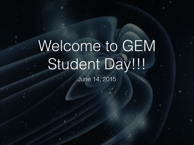# Welcome to GEM Student Day!!!

June 14, 2015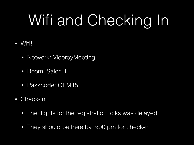# Wifi and Checking In

#### • Wifi!

- Network: ViceroyMeeting
- Room: Salon 1
- Passcode: GEM15
- Check-In
	- The flights for the registration folks was delayed
	- They should be here by 3:00 pm for check-in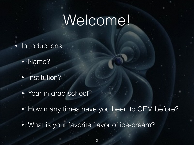#### Welcome!

- Introductions:
	- Name?
	- Institution?
	- Year in grad school?
	- How many times have you been to GEM before?

• What is your favorite flavor of ice-cream?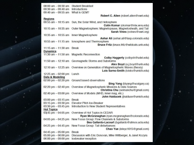| $08:00$ am $-09:30$ am                | <b>Student Breakfast</b>                                                                                        |  |  |  |  |  |
|---------------------------------------|-----------------------------------------------------------------------------------------------------------------|--|--|--|--|--|
| 09:30 $am - 09:40$ am                 | <b>Introductions</b>                                                                                            |  |  |  |  |  |
| 09:40 am - 09:55 am What is GEM?      |                                                                                                                 |  |  |  |  |  |
|                                       | Robert C. Allen (robert.allen@swri.edu)                                                                         |  |  |  |  |  |
| <b>Regions</b>                        |                                                                                                                 |  |  |  |  |  |
|                                       | 09:55 am - 10:15 am Sun, the Solar Wind, and Heliosphere                                                        |  |  |  |  |  |
|                                       | Colin Komar (ckomar@mix.wyu.edu)                                                                                |  |  |  |  |  |
|                                       | 10:15 am - 10:35 am Outer Magnetosphere: Magnetopause, Magnetosheath, and Tail<br>Sarah Vines (svines@swri.org) |  |  |  |  |  |
|                                       | 10:35 am - 10:55 am Inner Magnetosphere                                                                         |  |  |  |  |  |
|                                       | Ashar Ali (ashar.ali@lasp.colorado.edu)                                                                         |  |  |  |  |  |
| 10:55 $am - 11:15 am$                 | lonosphere and Thermosphere                                                                                     |  |  |  |  |  |
|                                       | Bruce Fritz (bruce.fritz@wildcats.unh.edu)                                                                      |  |  |  |  |  |
| 11:15 $am - 11:30 am$                 | <b>Break</b>                                                                                                    |  |  |  |  |  |
| <b>Dynamics</b>                       |                                                                                                                 |  |  |  |  |  |
|                                       | 11:30 am - 11:50 am Magnetic Reconnection                                                                       |  |  |  |  |  |
|                                       | Colby Haggerty (colbych@udel.edu)                                                                               |  |  |  |  |  |
|                                       | 11:50 am - 12:10 am Geomagnetic Storms and Substorms                                                            |  |  |  |  |  |
|                                       | Alex Boyd (a.j.boyd@unh.edu)                                                                                    |  |  |  |  |  |
|                                       | 12:10 am - 12:25 am Overview on Generation of Magnetospheric Waves (theory)                                     |  |  |  |  |  |
|                                       | Lois Sarno-Smith (loisks@umich.edu)                                                                             |  |  |  |  |  |
| 12:25 $am - 02:00$ pm                 | Lunch                                                                                                           |  |  |  |  |  |
| Data & Modeling                       |                                                                                                                 |  |  |  |  |  |
|                                       | $02:00$ pm $-02:20$ pm Ground based observations                                                                |  |  |  |  |  |
|                                       | <b>Bing Yang</b> (biyang@ucalgary.ca)                                                                           |  |  |  |  |  |
|                                       | 02:20 pm - 02:40 pm Overview of Magnetospheric Missions & Data Sources                                          |  |  |  |  |  |
|                                       | Christina Chu (seimanchu@gmail.com)                                                                             |  |  |  |  |  |
| $02:40 \text{ pm} - 03:00 \text{ pm}$ | Overview of Models (MHD, inner mag, etc.)                                                                       |  |  |  |  |  |
|                                       | John Haiducek (jhaiduce@umich.edu)                                                                              |  |  |  |  |  |
| $03:00 \text{ pm} - 03:15 \text{ pm}$ | <b>Break</b>                                                                                                    |  |  |  |  |  |
| $03:15$ pm $-03:30$ pm                | Elevator Pitch Ice-Breaker                                                                                      |  |  |  |  |  |
| 03:30 pm $-$ 03:45 pm                 | Introduction to New Student Representatives                                                                     |  |  |  |  |  |
| <b>Hot Topics</b>                     |                                                                                                                 |  |  |  |  |  |
| 03:45 pm $-$ 04:05 pm                 | Overview of Hot Topics in CEDAR                                                                                 |  |  |  |  |  |
|                                       | Ryan McGranaghan (ryan.mcgranaghan@colorado.edu)                                                                |  |  |  |  |  |
| 04:05 pm $-$ 04:25 pm                 | New Focus Group: Flow Channels & Substorms                                                                      |  |  |  |  |  |
|                                       | Bea Gallardo-Lacourt (bgallardo@atmos.ucla.edu)                                                                 |  |  |  |  |  |
| 04:25 pm $-$ 04:45 pm                 | New Focus Group: Tail disturbances                                                                              |  |  |  |  |  |
|                                       | Chao Yue (leleyc1015@gmail.com)                                                                                 |  |  |  |  |  |
| 04:45 pm $-$ 05:00 pm                 | <b>Break</b>                                                                                                    |  |  |  |  |  |
| $05:00 \text{ pm} - 06:00 \text{ pm}$ | Discussion with Eric Donovan, Mike Wiltberger, & Janet Kozyra                                                   |  |  |  |  |  |
| 06:00 pm $-$ 09:00 pm                 | Icebreaker reception                                                                                            |  |  |  |  |  |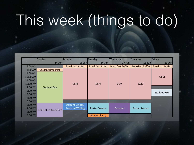# This week (things to do)

|           | Sunday                   | Monday                  | Tuesday                 | Wednesday               | Thursday                | Friday                  |
|-----------|--------------------------|-------------------------|-------------------------|-------------------------|-------------------------|-------------------------|
|           | $14$ -Jun                | $15$ -Jun               | $16$ -Jun               | $17$ -Jun               | $18$ -Jun               | 19-Jun                  |
| $7:00$ AM |                          | <b>Breakfast Buffet</b> | <b>Breakfast Buffet</b> | <b>Breakfast Buffet</b> | <b>Breakfast Buffet</b> | <b>Breakfast Buffet</b> |
| 8:00 AM   | <b>Student Breakfast</b> |                         |                         |                         |                         |                         |
| $9:00$ AM |                          |                         |                         |                         |                         |                         |
| 10:00 AM  |                          |                         |                         |                         |                         | <b>GEM</b>              |
| 11:00 AM  |                          |                         |                         |                         |                         |                         |
| 12:00 PM  |                          | <b>GEM</b>              | <b>GEM</b>              | <b>GEM</b>              | <b>GEM</b>              |                         |
| $1:00$ PM | <b>Student Day</b>       |                         |                         |                         |                         |                         |
| 2:00 PM   |                          |                         |                         |                         |                         | <b>Student Hike</b>     |
| $3:00$ PM |                          |                         |                         |                         |                         |                         |
| 4:00 PM   |                          |                         |                         |                         |                         |                         |
| 5:00 PM   |                          |                         |                         |                         |                         |                         |
| 6:00 PM   |                          | Student Dinner/         |                         |                         |                         |                         |
| 7:00 PM   | Icebreaker Reception     | <b>Proposal Writing</b> | <b>Poster Session</b>   | Banquet                 | <b>Poster Session</b>   |                         |
| 8:00 PM   |                          |                         |                         |                         |                         |                         |
| 9:00 PM   |                          |                         | <b>Student Party</b>    |                         |                         |                         |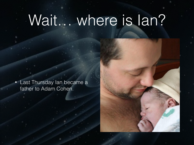### Wait… where is Ian?

• Last Thursday Ian became a father to Adam Cohen.

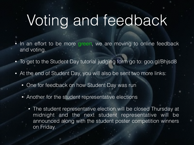## Voting and feedback

- In an effort to be more green, we are moving to online feedback and voting.
- To get to the Student Day tutorial judging form go to: goo.gl/Bhjsd8
- At the end of Student Day, you will also be sent two more links:
	- One for feedback on how Student Day was run
	- Another for the student representative elections
		- The student representative election will be closed Thursday at midnight and the next student representative will be announced along with the student poster competition winners on Friday.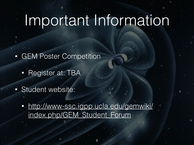#### Important Information

- **GEM Poster Competition** 
	- Register at: TBA
- Student website:
	- [http://www-ssc.igpp.ucla.edu/gemwiki/](http://www-ssc.igpp.ucla.edu/gemwiki/index.php/GEM_Student_Forum) index.php/GEM\_Student\_Forum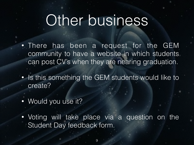#### Other business

- There has been a request for the GEM community to have a website in which students can post CV's when they are nearing graduation.
- Is this something the GEM students would like to create?
- Would you use it?
- Voting will take place via a question on the Student Day feedback form.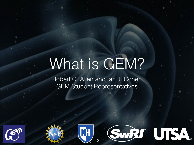# What is GEM?

Robert C. Allen and Ian J. Cohen GEM Student Representatives







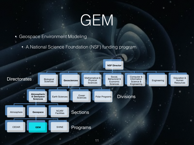# GEM

- Geospace Environment Modeling
	- A National Science Foundation (NSF) funding program

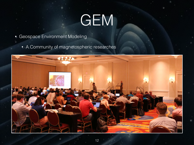# GEM

- Geospace Environment Modeling
	- A Community of magnetospheric researches

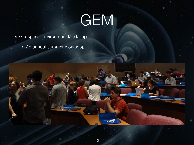# GEM

- Geospace Environment Modeling
	- An annual summer workshop

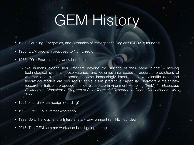# GEM History

- 1985: Coupling, Energetics, and Dynamics of Atmospheric Regions (CEDAR) founded
- 1986: GEM program proposed to NSF Director
- 1988-1991: Four planning workshops held
	- "As humans extend their frontiers beyond the surface of their home planet moving technological systems, observatories, and colonies into space – accurate predictions of weather and climate in space become increasingly important. New scientific data and theoretical models are required to achieve this predictive capability. Therefore a major new research initiative is proposed entitled Geospace Environment Modeling (GEM)." – *Geospace Environment Modeling: A Program of Solar-Terrestrial Research in Global Geosciences – May 1988*
- 1991: First GEM campaign (Funding)
- 1992: First GEM summer workshop
- 1999: Solar Heliospheric & Interplanetary Environment (SHINE) founded
- 2015: The GEM summer workshop is still going strong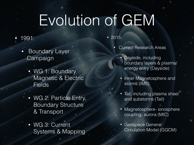## Evolution of GEM

#### • 1991:

- Boundary Layer Campaign
	- WG 1: Boundary Magnetic & Electric Fields
	- WG 2: Particle Entry, Boundary Structure & Transport
	- WG 3: Current Systems & Mapping

• 2015:

- **Current Research Areas** 
	- Dayside, including boundary layers & plasma/ energy entry (Dayside)
	- Inner Magnetosphere and storms (IMS)
	- Tail, including plasma sheet and substorms (Tail)
	- Magnetosphere- ionosphere coupling, aurora (MIC)
	- Geospace General Circulation Model (GGCM)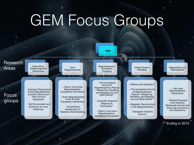## GEM Focus Groups

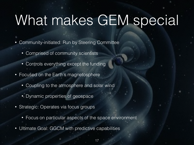## What makes GEM special

- Community-initiated: Run by Steering Committee
	- Comprised of community scientists
	- Controls everything except the funding
- Focused on the Earth's magnetosphere
	- Coupling to the atmosphere and solar wind
	- Dynamic properties of geospace
- Strategic: Operates via focus groups
	- Focus on particular aspects of the space environment
- Ultimate Goal: GGCM with predictive capabilities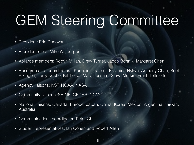# GEM Steering Committee

- President: Eric Donovan
- President-elect: Mike Wiltberger
- At-large members: Robyn Millan, Drew Turner, Jacob Bortnik, Margaret Chen
- Research area coordinators: Karlheinz Trattner, Katariina Nykyri, Anthony Chan, Scot Elkingon, Larry Kepko, Bill Lotko, Marc Lessard, Slava Merkin, Frank Toffoletto
- Agency liaisons: NSF, NOAA, NASA
- Community liaisons: SHINE, CEDAR, CCMC
- National liaisons: Canada, Europe, Japan, China, Korea, Mexico, Argentina, Taiwan, Australia
- Communications coordinator: Peter Chi
- Student representatives: Ian Cohen and Robert Allen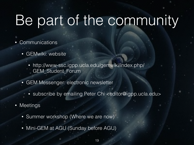# Be part of the community

- **Communications** 
	- GEMwiki: website
		- http://www-ssc.igpp.ucla.edu/gemwiki/index.php/ GEM\_Student\_Forum
	- GEM Messenger: electronic newsletter
		- subscribe by emailing Peter Chi <editor@igpp.ucla.edu>
- Meetings
	- Summer workshop (Where we are now)
	- Mini-GEM at AGU (Sunday before AGU)